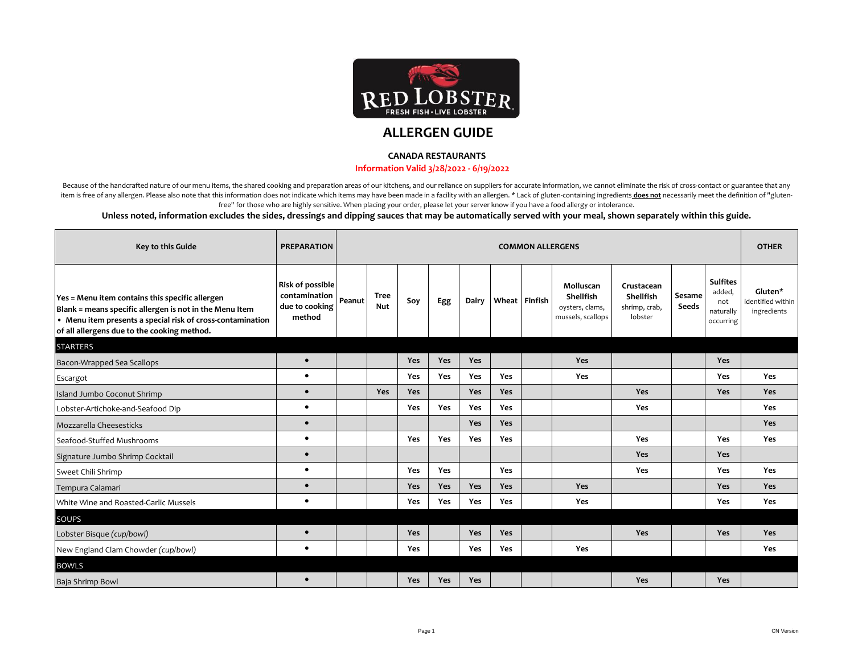

## **ALLERGEN GUIDE**

## **CANADA RESTAURANTS**

## **Information Valid 3/28/2022 - 6/19/2022**

Because of the handcrafted nature of our menu items, the shared cooking and preparation areas of our kitchens, and our reliance on suppliers for accurate information, we cannot eliminate the risk of cross-contact or guaran item is free of any allergen. Please also note that this information does not indicate which items may have been made in a facility with an allergen. \* Lack of gluten-containing ingredients does not necessarily meet the de free" for those who are highly sensitive. When placing your order, please let your server know if you have a food allergy or intolerance.

## **Unless noted, information excludes the sides, dressings and dipping sauces that may be automatically served with your meal, shown separately within this guide.**

| Key to this Guide                                                                                                                                                                                                       | <b>PREPARATION</b>                                            |        |                           |            |            |            |            | <b>COMMON ALLERGENS</b> |                                                                |                                                     |                 |                                                            | <b>OTHER</b>                                |
|-------------------------------------------------------------------------------------------------------------------------------------------------------------------------------------------------------------------------|---------------------------------------------------------------|--------|---------------------------|------------|------------|------------|------------|-------------------------|----------------------------------------------------------------|-----------------------------------------------------|-----------------|------------------------------------------------------------|---------------------------------------------|
| Yes = Menu item contains this specific allergen<br>Blank = means specific allergen is not in the Menu Item<br>• Menu item presents a special risk of cross-contamination<br>of all allergens due to the cooking method. | Risk of possible<br>contamination<br>due to cooking<br>method | Peanut | <b>Tree</b><br><b>Nut</b> | Soy        | Egg        | Dairy      |            | Wheat Finfish           | Molluscan<br>Shellfish<br>oysters, clams,<br>mussels, scallops | Crustacean<br>Shellfish<br>shrimp, crab,<br>lobster | Sesame<br>Seeds | <b>Sulfites</b><br>added,<br>not<br>naturally<br>occurring | Gluten*<br>identified within<br>ingredients |
| <b>STARTERS</b>                                                                                                                                                                                                         |                                                               |        |                           |            |            |            |            |                         |                                                                |                                                     |                 |                                                            |                                             |
| Bacon-Wrapped Sea Scallops                                                                                                                                                                                              | $\bullet$                                                     |        |                           | Yes        | <b>Yes</b> | <b>Yes</b> |            |                         | Yes                                                            |                                                     |                 | <b>Yes</b>                                                 |                                             |
| Escargot                                                                                                                                                                                                                | $\bullet$                                                     |        |                           | Yes        | Yes        | Yes        | Yes        |                         | Yes                                                            |                                                     |                 | Yes                                                        | Yes                                         |
| Island Jumbo Coconut Shrimp                                                                                                                                                                                             | $\bullet$                                                     |        | <b>Yes</b>                | Yes        |            | Yes        | Yes        |                         |                                                                | Yes                                                 |                 | Yes                                                        | Yes                                         |
| Lobster-Artichoke-and-Seafood Dip                                                                                                                                                                                       | $\bullet$                                                     |        |                           | <b>Yes</b> | Yes        | Yes        | <b>Yes</b> |                         |                                                                | Yes                                                 |                 |                                                            | Yes                                         |
| Mozzarella Cheesesticks                                                                                                                                                                                                 | $\bullet$                                                     |        |                           |            |            | Yes        | Yes        |                         |                                                                |                                                     |                 |                                                            | Yes                                         |
| Seafood-Stuffed Mushrooms                                                                                                                                                                                               | $\bullet$                                                     |        |                           | <b>Yes</b> | Yes        | Yes        | Yes        |                         |                                                                | Yes                                                 |                 | Yes                                                        | Yes                                         |
| Signature Jumbo Shrimp Cocktail                                                                                                                                                                                         | $\bullet$                                                     |        |                           |            |            |            |            |                         |                                                                | Yes                                                 |                 | Yes                                                        |                                             |
| Sweet Chili Shrimp                                                                                                                                                                                                      | $\bullet$                                                     |        |                           | Yes        | Yes        |            | Yes        |                         |                                                                | Yes                                                 |                 | Yes                                                        | Yes                                         |
| Tempura Calamari                                                                                                                                                                                                        | $\bullet$                                                     |        |                           | Yes        | Yes        | Yes        | Yes        |                         | Yes                                                            |                                                     |                 | Yes                                                        | Yes                                         |
| White Wine and Roasted-Garlic Mussels                                                                                                                                                                                   | $\bullet$                                                     |        |                           | Yes        | Yes        | Yes        | Yes        |                         | Yes                                                            |                                                     |                 | Yes                                                        | Yes                                         |
| <b>SOUPS</b>                                                                                                                                                                                                            |                                                               |        |                           |            |            |            |            |                         |                                                                |                                                     |                 |                                                            |                                             |
| Lobster Bisque (cup/bowl)                                                                                                                                                                                               | $\bullet$                                                     |        |                           | Yes        |            | Yes        | Yes        |                         |                                                                | <b>Yes</b>                                          |                 | Yes                                                        | <b>Yes</b>                                  |
| New England Clam Chowder (cup/bowl)                                                                                                                                                                                     | $\bullet$                                                     |        |                           | <b>Yes</b> |            | Yes        | Yes        |                         | Yes                                                            |                                                     |                 |                                                            | Yes                                         |
| <b>BOWLS</b>                                                                                                                                                                                                            |                                                               |        |                           |            |            |            |            |                         |                                                                |                                                     |                 |                                                            |                                             |
| Baja Shrimp Bowl                                                                                                                                                                                                        | $\bullet$                                                     |        |                           | Yes        | Yes        | Yes        |            |                         |                                                                | <b>Yes</b>                                          |                 | Yes                                                        |                                             |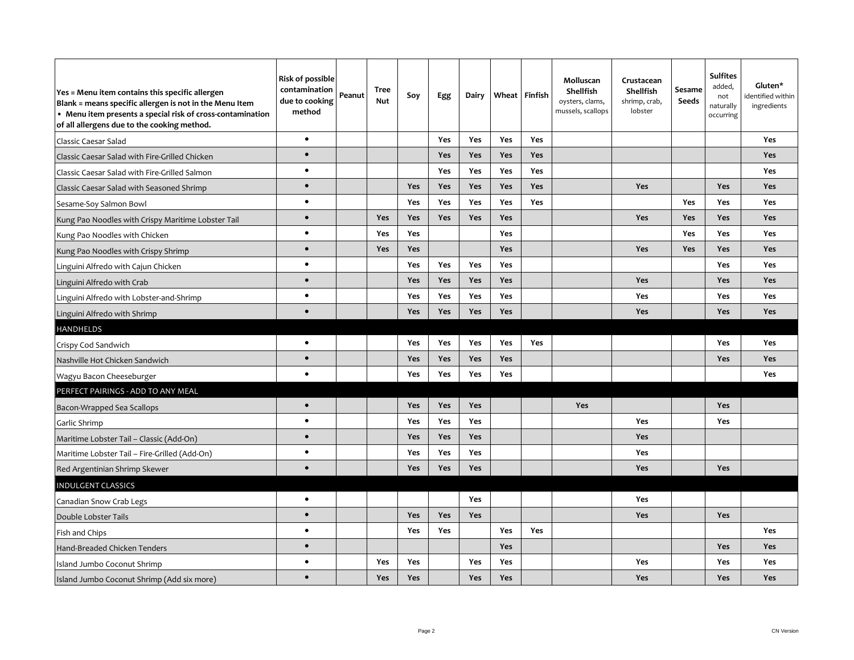| Yes = Menu item contains this specific allergen<br>Blank = means specific allergen is not in the Menu Item<br>• Menu item presents a special risk of cross-contamination<br>of all allergens due to the cooking method. | Risk of possible<br>contamination<br>due to cooking<br>method | Peanut | <b>Tree</b><br>Nut | Soy        | Egg        | Dairy      |     | Wheat Finfish | Molluscan<br><b>Shellfish</b><br>oysters, clams,<br>mussels, scallops | Crustacean<br><b>Shellfish</b><br>shrimp, crab,<br>lobster | Sesame<br>Seeds | <b>Sulfites</b><br>added,<br>not<br>naturally<br>occurring | Gluten*<br>identified within<br>ingredients |
|-------------------------------------------------------------------------------------------------------------------------------------------------------------------------------------------------------------------------|---------------------------------------------------------------|--------|--------------------|------------|------------|------------|-----|---------------|-----------------------------------------------------------------------|------------------------------------------------------------|-----------------|------------------------------------------------------------|---------------------------------------------|
| Classic Caesar Salad                                                                                                                                                                                                    | $\bullet$                                                     |        |                    |            | Yes        | <b>Yes</b> | Yes | Yes           |                                                                       |                                                            |                 |                                                            | Yes                                         |
| Classic Caesar Salad with Fire-Grilled Chicken                                                                                                                                                                          | $\bullet$                                                     |        |                    |            | Yes        | Yes        | Yes | Yes           |                                                                       |                                                            |                 |                                                            | <b>Yes</b>                                  |
| Classic Caesar Salad with Fire-Grilled Salmon                                                                                                                                                                           | $\bullet$                                                     |        |                    |            | Yes        | Yes        | Yes | Yes           |                                                                       |                                                            |                 |                                                            | Yes                                         |
| Classic Caesar Salad with Seasoned Shrimp                                                                                                                                                                               | $\bullet$                                                     |        |                    | <b>Yes</b> | Yes        | Yes        | Yes | Yes           |                                                                       | <b>Yes</b>                                                 |                 | Yes                                                        | <b>Yes</b>                                  |
| Sesame-Soy Salmon Bowl                                                                                                                                                                                                  | $\bullet$                                                     |        |                    | Yes        | <b>Yes</b> | Yes        | Yes | Yes           |                                                                       |                                                            | Yes             | Yes                                                        | Yes                                         |
| Kung Pao Noodles with Crispy Maritime Lobster Tail                                                                                                                                                                      | $\bullet$                                                     |        | <b>Yes</b>         | Yes        | Yes        | Yes        | Yes |               |                                                                       | <b>Yes</b>                                                 | <b>Yes</b>      | <b>Yes</b>                                                 | <b>Yes</b>                                  |
| Kung Pao Noodles with Chicken                                                                                                                                                                                           | $\bullet$                                                     |        | <b>Yes</b>         | Yes        |            |            | Yes |               |                                                                       |                                                            | Yes             | Yes                                                        | Yes                                         |
| Kung Pao Noodles with Crispy Shrimp                                                                                                                                                                                     | $\bullet$                                                     |        | <b>Yes</b>         | <b>Yes</b> |            |            | Yes |               |                                                                       | <b>Yes</b>                                                 | <b>Yes</b>      | Yes                                                        | <b>Yes</b>                                  |
| Linguini Alfredo with Cajun Chicken                                                                                                                                                                                     | $\bullet$                                                     |        |                    | Yes        | Yes        | Yes        | Yes |               |                                                                       |                                                            |                 | Yes                                                        | Yes                                         |
| Linguini Alfredo with Crab                                                                                                                                                                                              | $\bullet$                                                     |        |                    | Yes        | Yes        | Yes        | Yes |               |                                                                       | Yes                                                        |                 | Yes                                                        | <b>Yes</b>                                  |
| Linguini Alfredo with Lobster-and-Shrimp                                                                                                                                                                                | $\bullet$                                                     |        |                    | Yes        | Yes        | Yes        | Yes |               |                                                                       | Yes                                                        |                 | Yes                                                        | Yes                                         |
| Linguini Alfredo with Shrimp                                                                                                                                                                                            | $\bullet$                                                     |        |                    | <b>Yes</b> | Yes        | Yes        | Yes |               |                                                                       | <b>Yes</b>                                                 |                 | Yes                                                        | <b>Yes</b>                                  |
| HANDHELDS                                                                                                                                                                                                               |                                                               |        |                    |            |            |            |     |               |                                                                       |                                                            |                 |                                                            |                                             |
| Crispy Cod Sandwich                                                                                                                                                                                                     | $\bullet$                                                     |        |                    | Yes        | <b>Yes</b> | <b>Yes</b> | Yes | Yes           |                                                                       |                                                            |                 | Yes                                                        | Yes                                         |
| Nashville Hot Chicken Sandwich                                                                                                                                                                                          | $\bullet$                                                     |        |                    | <b>Yes</b> | <b>Yes</b> | <b>Yes</b> | Yes |               |                                                                       |                                                            |                 | Yes                                                        | <b>Yes</b>                                  |
| Wagyu Bacon Cheeseburger                                                                                                                                                                                                | $\bullet$                                                     |        |                    | Yes        | Yes        | Yes        | Yes |               |                                                                       |                                                            |                 |                                                            | Yes                                         |
| PERFECT PAIRINGS - ADD TO ANY MEAL                                                                                                                                                                                      |                                                               |        |                    |            |            |            |     |               |                                                                       |                                                            |                 |                                                            |                                             |
| Bacon-Wrapped Sea Scallops                                                                                                                                                                                              | $\bullet$                                                     |        |                    | Yes        | Yes        | Yes        |     |               | Yes                                                                   |                                                            |                 | Yes                                                        |                                             |
| Garlic Shrimp                                                                                                                                                                                                           | $\bullet$                                                     |        |                    | Yes        | Yes        | Yes        |     |               |                                                                       | Yes                                                        |                 | Yes                                                        |                                             |
| Maritime Lobster Tail - Classic (Add-On)                                                                                                                                                                                | $\bullet$                                                     |        |                    | Yes        | Yes        | Yes        |     |               |                                                                       | Yes                                                        |                 |                                                            |                                             |
| Maritime Lobster Tail – Fire-Grilled (Add-On)                                                                                                                                                                           | $\bullet$                                                     |        |                    | Yes        | <b>Yes</b> | Yes        |     |               |                                                                       | <b>Yes</b>                                                 |                 |                                                            |                                             |
| Red Argentinian Shrimp Skewer                                                                                                                                                                                           | $\bullet$                                                     |        |                    | Yes        | Yes        | <b>Yes</b> |     |               |                                                                       | Yes                                                        |                 | <b>Yes</b>                                                 |                                             |
| <b>INDULGENT CLASSICS</b>                                                                                                                                                                                               |                                                               |        |                    |            |            |            |     |               |                                                                       |                                                            |                 |                                                            |                                             |
| Canadian Snow Crab Legs                                                                                                                                                                                                 | $\bullet$                                                     |        |                    |            |            | Yes        |     |               |                                                                       | Yes                                                        |                 |                                                            |                                             |
| Double Lobster Tails                                                                                                                                                                                                    | $\bullet$                                                     |        |                    | <b>Yes</b> | <b>Yes</b> | <b>Yes</b> |     |               |                                                                       | <b>Yes</b>                                                 |                 | Yes                                                        |                                             |
| Fish and Chips                                                                                                                                                                                                          | $\bullet$                                                     |        |                    | Yes        | Yes        |            | Yes | Yes           |                                                                       |                                                            |                 |                                                            | Yes                                         |
| Hand-Breaded Chicken Tenders                                                                                                                                                                                            | $\bullet$                                                     |        |                    |            |            |            | Yes |               |                                                                       |                                                            |                 | Yes                                                        | <b>Yes</b>                                  |
| Island Jumbo Coconut Shrimp                                                                                                                                                                                             | $\bullet$                                                     |        | <b>Yes</b>         | <b>Yes</b> |            | <b>Yes</b> | Yes |               |                                                                       | <b>Yes</b>                                                 |                 | Yes                                                        | Yes                                         |
| Island Jumbo Coconut Shrimp (Add six more)                                                                                                                                                                              | $\bullet$                                                     |        | Yes                | Yes        |            | Yes        | Yes |               |                                                                       | <b>Yes</b>                                                 |                 | Yes                                                        | <b>Yes</b>                                  |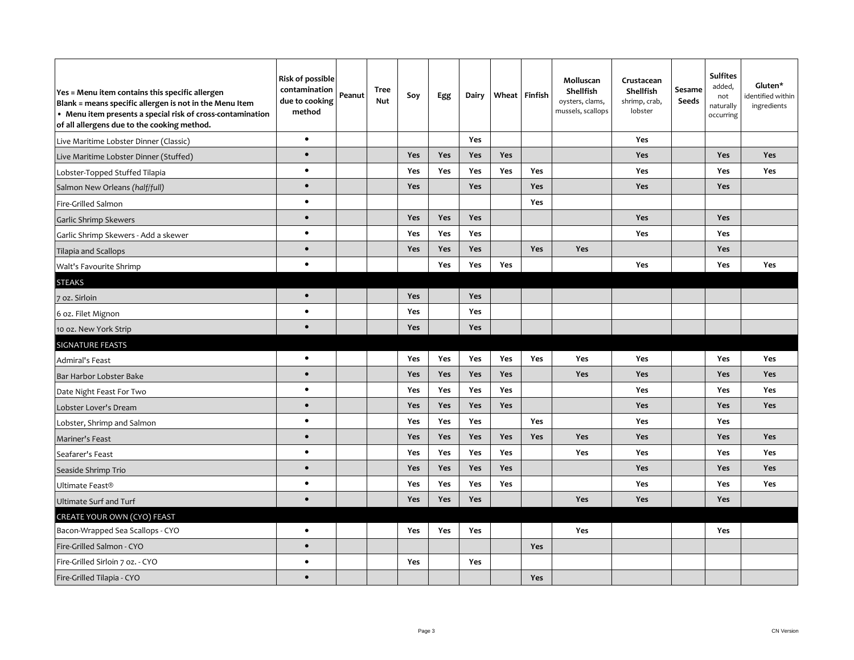| Yes = Menu item contains this specific allergen<br>Blank = means specific allergen is not in the Menu Item<br>• Menu item presents a special risk of cross-contamination<br>of all allergens due to the cooking method. | <b>Risk of possible</b><br>contamination<br>due to cooking<br>method | Peanut | Tree<br>Nut | Soy        | Egg        | Dairy      |            | Wheat Finfish | Molluscan<br>Shellfish<br>oysters, clams,<br>mussels, scallops | Crustacean<br>Shellfish<br>shrimp, crab,<br>lobster | Sesame<br>Seeds | <b>Sulfites</b><br>added,<br>not<br>naturally<br>occurring | Gluten*<br>identified within<br>ingredients |
|-------------------------------------------------------------------------------------------------------------------------------------------------------------------------------------------------------------------------|----------------------------------------------------------------------|--------|-------------|------------|------------|------------|------------|---------------|----------------------------------------------------------------|-----------------------------------------------------|-----------------|------------------------------------------------------------|---------------------------------------------|
| Live Maritime Lobster Dinner (Classic)                                                                                                                                                                                  | $\bullet$                                                            |        |             |            |            | Yes        |            |               |                                                                | Yes                                                 |                 |                                                            |                                             |
| Live Maritime Lobster Dinner (Stuffed)                                                                                                                                                                                  | $\bullet$                                                            |        |             | Yes        | Yes        | Yes        | Yes        |               |                                                                | <b>Yes</b>                                          |                 | Yes                                                        | <b>Yes</b>                                  |
| Lobster-Topped Stuffed Tilapia                                                                                                                                                                                          | $\bullet$                                                            |        |             | <b>Yes</b> | <b>Yes</b> | Yes        | <b>Yes</b> | <b>Yes</b>    |                                                                | Yes                                                 |                 | <b>Yes</b>                                                 | Yes                                         |
| Salmon New Orleans (half/full)                                                                                                                                                                                          | $\bullet$                                                            |        |             | Yes        |            | Yes        |            | <b>Yes</b>    |                                                                | Yes                                                 |                 | Yes                                                        |                                             |
| Fire-Grilled Salmon                                                                                                                                                                                                     | $\bullet$                                                            |        |             |            |            |            |            | Yes           |                                                                |                                                     |                 |                                                            |                                             |
| Garlic Shrimp Skewers                                                                                                                                                                                                   | $\bullet$                                                            |        |             | Yes        | Yes        | Yes        |            |               |                                                                | Yes                                                 |                 | Yes                                                        |                                             |
| Garlic Shrimp Skewers - Add a skewer                                                                                                                                                                                    | $\bullet$                                                            |        |             | Yes        | Yes        | Yes        |            |               |                                                                | Yes                                                 |                 | Yes                                                        |                                             |
| Tilapia and Scallops                                                                                                                                                                                                    | $\bullet$                                                            |        |             | Yes        | Yes        | Yes        |            | Yes           | Yes                                                            |                                                     |                 | Yes                                                        |                                             |
| Walt's Favourite Shrimp                                                                                                                                                                                                 | $\bullet$                                                            |        |             |            | Yes        | Yes        | Yes        |               |                                                                | Yes                                                 |                 | Yes                                                        | Yes                                         |
| <b>STEAKS</b>                                                                                                                                                                                                           |                                                                      |        |             |            |            |            |            |               |                                                                |                                                     |                 |                                                            |                                             |
| 7 oz. Sirloin                                                                                                                                                                                                           | $\bullet$                                                            |        |             | Yes        |            | Yes        |            |               |                                                                |                                                     |                 |                                                            |                                             |
| 6 oz. Filet Mignon                                                                                                                                                                                                      | $\bullet$                                                            |        |             | Yes        |            | Yes        |            |               |                                                                |                                                     |                 |                                                            |                                             |
| 10 oz. New York Strip                                                                                                                                                                                                   | $\bullet$                                                            |        |             | Yes        |            | Yes        |            |               |                                                                |                                                     |                 |                                                            |                                             |
| <b>SIGNATURE FEASTS</b>                                                                                                                                                                                                 |                                                                      |        |             |            |            |            |            |               |                                                                |                                                     |                 |                                                            |                                             |
| Admiral's Feast                                                                                                                                                                                                         | $\bullet$                                                            |        |             | Yes        | Yes        | Yes        | <b>Yes</b> | <b>Yes</b>    | Yes                                                            | Yes                                                 |                 | Yes                                                        | Yes                                         |
| Bar Harbor Lobster Bake                                                                                                                                                                                                 | $\bullet$                                                            |        |             | Yes        | <b>Yes</b> | Yes        | Yes        |               | Yes                                                            | Yes                                                 |                 | Yes                                                        | Yes                                         |
| Date Night Feast For Two                                                                                                                                                                                                | $\bullet$                                                            |        |             | Yes        | Yes        | Yes        | Yes        |               |                                                                | Yes                                                 |                 | Yes                                                        | Yes                                         |
| Lobster Lover's Dream                                                                                                                                                                                                   | $\bullet$                                                            |        |             | Yes        | Yes        | Yes        | Yes        |               |                                                                | <b>Yes</b>                                          |                 | Yes                                                        | Yes                                         |
| Lobster, Shrimp and Salmon                                                                                                                                                                                              | $\bullet$                                                            |        |             | Yes        | Yes        | Yes        |            | <b>Yes</b>    |                                                                | Yes                                                 |                 | Yes                                                        |                                             |
| Mariner's Feast                                                                                                                                                                                                         | $\bullet$                                                            |        |             | <b>Yes</b> | <b>Yes</b> | Yes        | Yes        | Yes           | Yes                                                            | <b>Yes</b>                                          |                 | Yes                                                        | <b>Yes</b>                                  |
| Seafarer's Feast                                                                                                                                                                                                        | $\bullet$                                                            |        |             | Yes        | Yes        | Yes        | Yes        |               | Yes                                                            | Yes                                                 |                 | Yes                                                        | Yes                                         |
| Seaside Shrimp Trio                                                                                                                                                                                                     | $\bullet$                                                            |        |             | Yes        | Yes        | Yes        | Yes        |               |                                                                | Yes                                                 |                 | Yes                                                        | Yes                                         |
| Ultimate Feast <sup>®</sup>                                                                                                                                                                                             | $\bullet$                                                            |        |             | Yes        | Yes        | Yes        | Yes        |               |                                                                | Yes                                                 |                 | Yes                                                        | Yes                                         |
| <b>Ultimate Surf and Turf</b>                                                                                                                                                                                           | $\bullet$                                                            |        |             | Yes        | Yes        | <b>Yes</b> |            |               | <b>Yes</b>                                                     | <b>Yes</b>                                          |                 | Yes                                                        |                                             |
| CREATE YOUR OWN (CYO) FEAST                                                                                                                                                                                             |                                                                      |        |             |            |            |            |            |               |                                                                |                                                     |                 |                                                            |                                             |
| Bacon-Wrapped Sea Scallops - CYO                                                                                                                                                                                        | $\bullet$                                                            |        |             | <b>Yes</b> | Yes        | Yes        |            |               | Yes                                                            |                                                     |                 | <b>Yes</b>                                                 |                                             |
| Fire-Grilled Salmon - CYO                                                                                                                                                                                               | $\bullet$                                                            |        |             |            |            |            |            | Yes           |                                                                |                                                     |                 |                                                            |                                             |
| Fire-Grilled Sirloin 7 oz. - CYO                                                                                                                                                                                        | $\bullet$                                                            |        |             | Yes        |            | Yes        |            |               |                                                                |                                                     |                 |                                                            |                                             |
| Fire-Grilled Tilapia - CYO                                                                                                                                                                                              | $\bullet$                                                            |        |             |            |            |            |            | Yes           |                                                                |                                                     |                 |                                                            |                                             |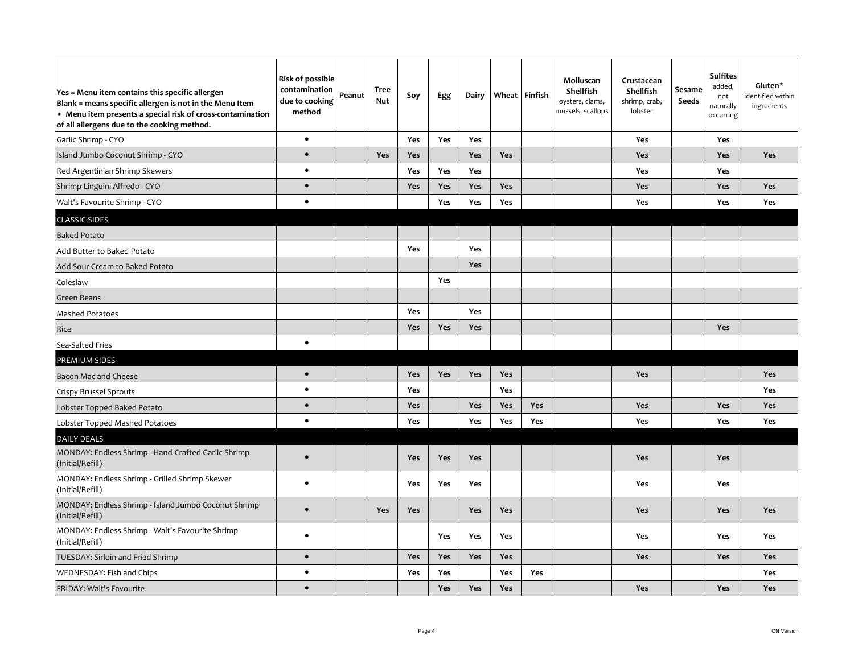| Yes = Menu item contains this specific allergen<br>Blank = means specific allergen is not in the Menu Item<br>• Menu item presents a special risk of cross-contamination<br>of all allergens due to the cooking method. | Risk of possible<br>contamination<br>due to cooking<br>method | Peanut | Tree<br><b>Nut</b> | Soy        | Egg        | Dairy      |     | Wheat Finfish | Molluscan<br>Shellfish<br>oysters, clams,<br>mussels, scallops | Crustacean<br>Shellfish<br>shrimp, crab,<br>lobster | Sesame<br><b>Seeds</b> | <b>Sulfites</b><br>added,<br>not<br>naturally<br>occurring | Gluten*<br>identified within<br>ingredients |
|-------------------------------------------------------------------------------------------------------------------------------------------------------------------------------------------------------------------------|---------------------------------------------------------------|--------|--------------------|------------|------------|------------|-----|---------------|----------------------------------------------------------------|-----------------------------------------------------|------------------------|------------------------------------------------------------|---------------------------------------------|
| Garlic Shrimp - CYO                                                                                                                                                                                                     | $\bullet$                                                     |        |                    | Yes        | Yes        | Yes        |     |               |                                                                | Yes                                                 |                        | Yes                                                        |                                             |
| Island Jumbo Coconut Shrimp - CYO                                                                                                                                                                                       | $\bullet$                                                     |        | <b>Yes</b>         | Yes        |            | Yes        | Yes |               |                                                                | Yes                                                 |                        | Yes                                                        | Yes                                         |
| Red Argentinian Shrimp Skewers                                                                                                                                                                                          | $\bullet$                                                     |        |                    | Yes        | Yes        | Yes        |     |               |                                                                | Yes                                                 |                        | Yes                                                        |                                             |
| Shrimp Linguini Alfredo - CYO                                                                                                                                                                                           | $\bullet$                                                     |        |                    | <b>Yes</b> | Yes        | Yes        | Yes |               |                                                                | <b>Yes</b>                                          |                        | Yes                                                        | <b>Yes</b>                                  |
| Walt's Favourite Shrimp - CYO                                                                                                                                                                                           | $\bullet$                                                     |        |                    |            | <b>Yes</b> | Yes        | Yes |               |                                                                | <b>Yes</b>                                          |                        | <b>Yes</b>                                                 | <b>Yes</b>                                  |
| <b>CLASSIC SIDES</b>                                                                                                                                                                                                    |                                                               |        |                    |            |            |            |     |               |                                                                |                                                     |                        |                                                            |                                             |
| <b>Baked Potato</b>                                                                                                                                                                                                     |                                                               |        |                    |            |            |            |     |               |                                                                |                                                     |                        |                                                            |                                             |
| Add Butter to Baked Potato                                                                                                                                                                                              |                                                               |        |                    | Yes        |            | Yes        |     |               |                                                                |                                                     |                        |                                                            |                                             |
| Add Sour Cream to Baked Potato                                                                                                                                                                                          |                                                               |        |                    |            |            | Yes        |     |               |                                                                |                                                     |                        |                                                            |                                             |
| Coleslaw                                                                                                                                                                                                                |                                                               |        |                    |            | Yes        |            |     |               |                                                                |                                                     |                        |                                                            |                                             |
| Green Beans                                                                                                                                                                                                             |                                                               |        |                    |            |            |            |     |               |                                                                |                                                     |                        |                                                            |                                             |
| Mashed Potatoes                                                                                                                                                                                                         |                                                               |        |                    | Yes        |            | <b>Yes</b> |     |               |                                                                |                                                     |                        |                                                            |                                             |
| Rice                                                                                                                                                                                                                    |                                                               |        |                    | <b>Yes</b> | Yes        | Yes        |     |               |                                                                |                                                     |                        | <b>Yes</b>                                                 |                                             |
| Sea-Salted Fries                                                                                                                                                                                                        | $\bullet$                                                     |        |                    |            |            |            |     |               |                                                                |                                                     |                        |                                                            |                                             |
| PREMIUM SIDES                                                                                                                                                                                                           |                                                               |        |                    |            |            |            |     |               |                                                                |                                                     |                        |                                                            |                                             |
| Bacon Mac and Cheese                                                                                                                                                                                                    | $\bullet$                                                     |        |                    | <b>Yes</b> | Yes        | <b>Yes</b> | Yes |               |                                                                | <b>Yes</b>                                          |                        |                                                            | <b>Yes</b>                                  |
| Crispy Brussel Sprouts                                                                                                                                                                                                  | $\bullet$                                                     |        |                    | Yes        |            |            | Yes |               |                                                                |                                                     |                        |                                                            | <b>Yes</b>                                  |
| Lobster Topped Baked Potato                                                                                                                                                                                             | $\bullet$                                                     |        |                    | Yes        |            | Yes        | Yes | Yes           |                                                                | <b>Yes</b>                                          |                        | <b>Yes</b>                                                 | Yes                                         |
| Lobster Topped Mashed Potatoes                                                                                                                                                                                          | $\bullet$                                                     |        |                    | Yes        |            | Yes        | Yes | Yes           |                                                                | <b>Yes</b>                                          |                        | Yes                                                        | <b>Yes</b>                                  |
| <b>DAILY DEALS</b>                                                                                                                                                                                                      |                                                               |        |                    |            |            |            |     |               |                                                                |                                                     |                        |                                                            |                                             |
| MONDAY: Endless Shrimp - Hand-Crafted Garlic Shrimp<br>(Initial/Refill)                                                                                                                                                 | $\bullet$                                                     |        |                    | Yes        | <b>Yes</b> | Yes        |     |               |                                                                | <b>Yes</b>                                          |                        | Yes                                                        |                                             |
| MONDAY: Endless Shrimp - Grilled Shrimp Skewer<br>(Initial/Refill)                                                                                                                                                      | $\bullet$                                                     |        |                    | Yes        | Yes        | Yes        |     |               |                                                                | Yes                                                 |                        | Yes                                                        |                                             |
| MONDAY: Endless Shrimp - Island Jumbo Coconut Shrimp<br>(Initial/Refill)                                                                                                                                                | $\bullet$                                                     |        | <b>Yes</b>         | Yes        |            | Yes        | Yes |               |                                                                | <b>Yes</b>                                          |                        | <b>Yes</b>                                                 | <b>Yes</b>                                  |
| MONDAY: Endless Shrimp - Walt's Favourite Shrimp<br>(Initial/Refill)                                                                                                                                                    | $\bullet$                                                     |        |                    |            | Yes        | Yes        | Yes |               |                                                                | <b>Yes</b>                                          |                        | Yes                                                        | <b>Yes</b>                                  |
| TUESDAY: Sirloin and Fried Shrimp                                                                                                                                                                                       | $\bullet$                                                     |        |                    | Yes        | Yes        | Yes        | Yes |               |                                                                | Yes                                                 |                        | Yes                                                        | <b>Yes</b>                                  |
| WEDNESDAY: Fish and Chips                                                                                                                                                                                               | $\bullet$                                                     |        |                    | Yes        | Yes        |            | Yes | Yes           |                                                                |                                                     |                        |                                                            | <b>Yes</b>                                  |
| <b>FRIDAY: Walt's Favourite</b>                                                                                                                                                                                         | $\bullet$                                                     |        |                    |            | Yes        | Yes        | Yes |               |                                                                | Yes                                                 |                        | <b>Yes</b>                                                 | <b>Yes</b>                                  |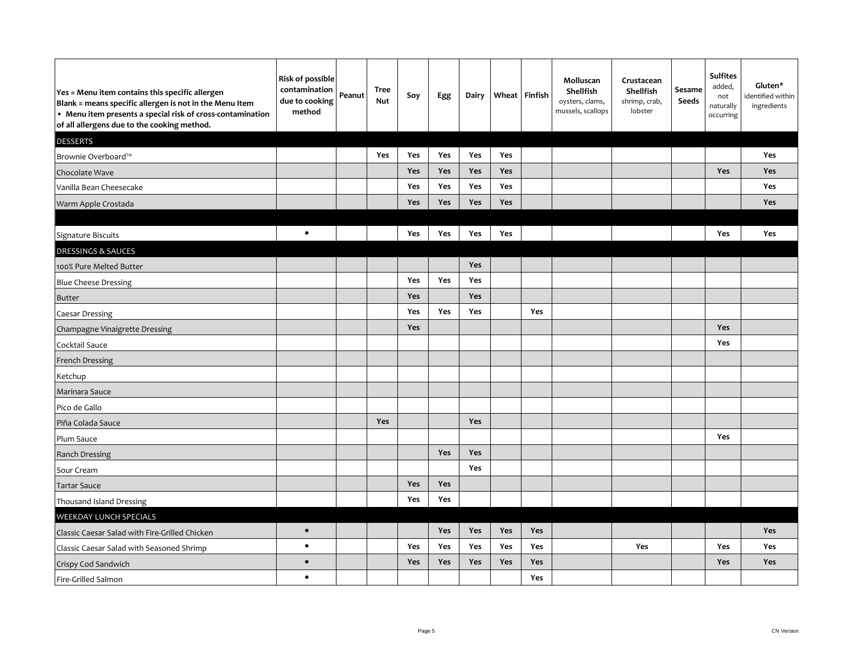| Yes = Menu item contains this specific allergen<br>Blank = means specific allergen is not in the Menu Item<br>• Menu item presents a special risk of cross-contamination<br>of all allergens due to the cooking method. | <b>Risk of possible</b><br>contamination<br>due to cooking<br>method | Peanut | Tree<br>Nut | Soy        | Egg        | Dairy |     | Wheat Finfish | Molluscan<br>Shellfish<br>oysters, clams,<br>mussels, scallops | Crustacean<br>Shellfish<br>shrimp, crab,<br>lobster | Sesame<br>Seeds | <b>Sulfites</b><br>added,<br>not<br>naturally<br>occurring | Gluten*<br>identified within<br>ingredients |
|-------------------------------------------------------------------------------------------------------------------------------------------------------------------------------------------------------------------------|----------------------------------------------------------------------|--------|-------------|------------|------------|-------|-----|---------------|----------------------------------------------------------------|-----------------------------------------------------|-----------------|------------------------------------------------------------|---------------------------------------------|
| <b>DESSERTS</b>                                                                                                                                                                                                         |                                                                      |        |             |            |            |       |     |               |                                                                |                                                     |                 |                                                            |                                             |
| Brownie Overboard™                                                                                                                                                                                                      |                                                                      |        | <b>Yes</b>  | <b>Yes</b> | <b>Yes</b> | Yes   | Yes |               |                                                                |                                                     |                 |                                                            | <b>Yes</b>                                  |
| Chocolate Wave                                                                                                                                                                                                          |                                                                      |        |             | Yes        | Yes        | Yes   | Yes |               |                                                                |                                                     |                 | Yes                                                        | Yes                                         |
| Vanilla Bean Cheesecake                                                                                                                                                                                                 |                                                                      |        |             | Yes        | Yes        | Yes   | Yes |               |                                                                |                                                     |                 |                                                            | Yes                                         |
| Warm Apple Crostada                                                                                                                                                                                                     |                                                                      |        |             | Yes        | Yes        | Yes   | Yes |               |                                                                |                                                     |                 |                                                            | Yes                                         |
|                                                                                                                                                                                                                         |                                                                      |        |             |            |            |       |     |               |                                                                |                                                     |                 |                                                            |                                             |
| Signature Biscuits                                                                                                                                                                                                      | $\bullet$                                                            |        |             | <b>Yes</b> | Yes        | Yes   | Yes |               |                                                                |                                                     |                 | Yes                                                        | Yes                                         |
| <b>DRESSINGS &amp; SAUCES</b>                                                                                                                                                                                           |                                                                      |        |             |            |            |       |     |               |                                                                |                                                     |                 |                                                            |                                             |
| 100% Pure Melted Butter                                                                                                                                                                                                 |                                                                      |        |             |            |            | Yes   |     |               |                                                                |                                                     |                 |                                                            |                                             |
| <b>Blue Cheese Dressing</b>                                                                                                                                                                                             |                                                                      |        |             | <b>Yes</b> | Yes        | Yes   |     |               |                                                                |                                                     |                 |                                                            |                                             |
| <b>Butter</b>                                                                                                                                                                                                           |                                                                      |        |             | Yes        |            | Yes   |     |               |                                                                |                                                     |                 |                                                            |                                             |
| Caesar Dressing                                                                                                                                                                                                         |                                                                      |        |             | Yes        | Yes        | Yes   |     | Yes           |                                                                |                                                     |                 |                                                            |                                             |
| Champagne Vinaigrette Dressing                                                                                                                                                                                          |                                                                      |        |             | Yes        |            |       |     |               |                                                                |                                                     |                 | Yes                                                        |                                             |
| Cocktail Sauce                                                                                                                                                                                                          |                                                                      |        |             |            |            |       |     |               |                                                                |                                                     |                 | Yes                                                        |                                             |
| French Dressing                                                                                                                                                                                                         |                                                                      |        |             |            |            |       |     |               |                                                                |                                                     |                 |                                                            |                                             |
| Ketchup                                                                                                                                                                                                                 |                                                                      |        |             |            |            |       |     |               |                                                                |                                                     |                 |                                                            |                                             |
| Marinara Sauce                                                                                                                                                                                                          |                                                                      |        |             |            |            |       |     |               |                                                                |                                                     |                 |                                                            |                                             |
| Pico de Gallo                                                                                                                                                                                                           |                                                                      |        |             |            |            |       |     |               |                                                                |                                                     |                 |                                                            |                                             |
| Piña Colada Sauce                                                                                                                                                                                                       |                                                                      |        | Yes         |            |            | Yes   |     |               |                                                                |                                                     |                 |                                                            |                                             |
| Plum Sauce                                                                                                                                                                                                              |                                                                      |        |             |            |            |       |     |               |                                                                |                                                     |                 | Yes                                                        |                                             |
| <b>Ranch Dressing</b>                                                                                                                                                                                                   |                                                                      |        |             |            | Yes        | Yes   |     |               |                                                                |                                                     |                 |                                                            |                                             |
| Sour Cream                                                                                                                                                                                                              |                                                                      |        |             |            |            | Yes   |     |               |                                                                |                                                     |                 |                                                            |                                             |
| <b>Tartar Sauce</b>                                                                                                                                                                                                     |                                                                      |        |             | Yes        | Yes        |       |     |               |                                                                |                                                     |                 |                                                            |                                             |
| Thousand Island Dressing                                                                                                                                                                                                |                                                                      |        |             | Yes        | Yes        |       |     |               |                                                                |                                                     |                 |                                                            |                                             |
| WEEKDAY LUNCH SPECIALS                                                                                                                                                                                                  |                                                                      |        |             |            |            |       |     |               |                                                                |                                                     |                 |                                                            |                                             |
| Classic Caesar Salad with Fire-Grilled Chicken                                                                                                                                                                          | $\bullet$                                                            |        |             |            | Yes        | Yes   | Yes | <b>Yes</b>    |                                                                |                                                     |                 |                                                            | Yes                                         |
| Classic Caesar Salad with Seasoned Shrimp                                                                                                                                                                               | $\bullet$                                                            |        |             | Yes        | Yes        | Yes   | Yes | Yes           |                                                                | Yes                                                 |                 | Yes                                                        | Yes                                         |
| Crispy Cod Sandwich                                                                                                                                                                                                     | $\bullet$                                                            |        |             | Yes        | Yes        | Yes   | Yes | Yes           |                                                                |                                                     |                 | <b>Yes</b>                                                 | Yes                                         |
| Fire-Grilled Salmon                                                                                                                                                                                                     | $\bullet$                                                            |        |             |            |            |       |     | Yes           |                                                                |                                                     |                 |                                                            |                                             |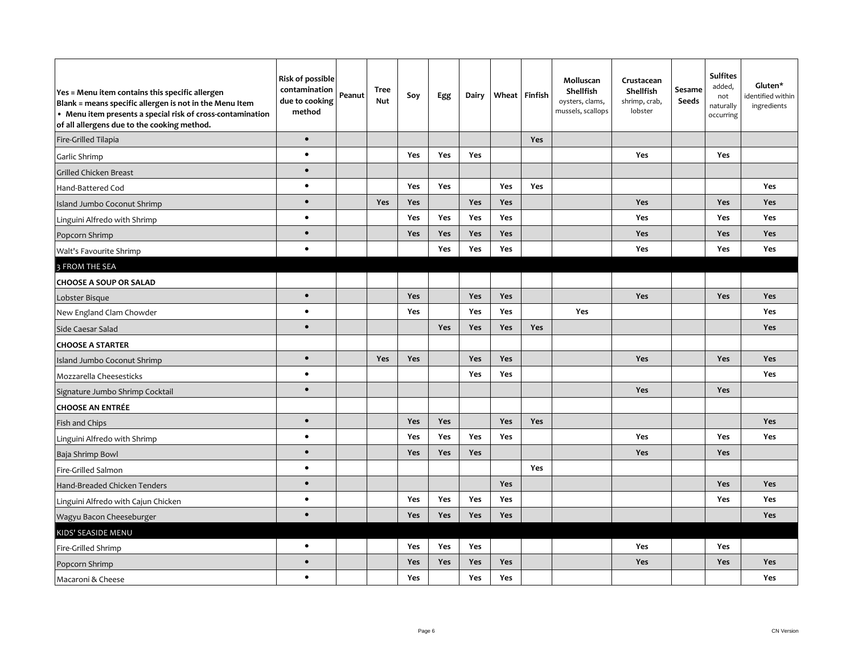| Yes = Menu item contains this specific allergen<br>Blank = means specific allergen is not in the Menu Item<br>• Menu item presents a special risk of cross-contamination<br>of all allergens due to the cooking method. | <b>Risk of possible</b><br>contamination<br>due to cooking<br>method | Peanut | <b>Tree</b><br><b>Nut</b> | Soy        | Egg        | Dairy      |     | Wheat Finfish | Molluscan<br>Shellfish<br>oysters, clams,<br>mussels, scallops | Crustacean<br>Shellfish<br>shrimp, crab,<br>lobster | Sesame<br><b>Seeds</b> | <b>Sulfites</b><br>added,<br>not<br>naturally<br>occurring | Gluten*<br>identified within<br>ingredients |
|-------------------------------------------------------------------------------------------------------------------------------------------------------------------------------------------------------------------------|----------------------------------------------------------------------|--------|---------------------------|------------|------------|------------|-----|---------------|----------------------------------------------------------------|-----------------------------------------------------|------------------------|------------------------------------------------------------|---------------------------------------------|
| Fire-Grilled Tilapia                                                                                                                                                                                                    | $\bullet$                                                            |        |                           |            |            |            |     | <b>Yes</b>    |                                                                |                                                     |                        |                                                            |                                             |
| Garlic Shrimp                                                                                                                                                                                                           | $\bullet$                                                            |        |                           | Yes        | Yes        | Yes        |     |               |                                                                | Yes                                                 |                        | Yes                                                        |                                             |
| Grilled Chicken Breast                                                                                                                                                                                                  | $\bullet$                                                            |        |                           |            |            |            |     |               |                                                                |                                                     |                        |                                                            |                                             |
| Hand-Battered Cod                                                                                                                                                                                                       | $\bullet$                                                            |        |                           | <b>Yes</b> | <b>Yes</b> |            | Yes | <b>Yes</b>    |                                                                |                                                     |                        |                                                            | Yes                                         |
| <b>Island Jumbo Coconut Shrimp</b>                                                                                                                                                                                      | $\bullet$                                                            |        | <b>Yes</b>                | Yes        |            | Yes        | Yes |               |                                                                | <b>Yes</b>                                          |                        | Yes                                                        | <b>Yes</b>                                  |
| Linguini Alfredo with Shrimp                                                                                                                                                                                            | $\bullet$                                                            |        |                           | <b>Yes</b> | Yes        | Yes        | Yes |               |                                                                | Yes                                                 |                        | Yes                                                        | Yes                                         |
| Popcorn Shrimp                                                                                                                                                                                                          | $\bullet$                                                            |        |                           | Yes        | Yes        | Yes        | Yes |               |                                                                | Yes                                                 |                        | Yes                                                        | <b>Yes</b>                                  |
| Walt's Favourite Shrimp                                                                                                                                                                                                 | $\bullet$                                                            |        |                           |            | Yes        | <b>Yes</b> | Yes |               |                                                                | Yes                                                 |                        | Yes                                                        | Yes                                         |
| 3 FROM THE SEA                                                                                                                                                                                                          |                                                                      |        |                           |            |            |            |     |               |                                                                |                                                     |                        |                                                            |                                             |
| <b>CHOOSE A SOUP OR SALAD</b>                                                                                                                                                                                           |                                                                      |        |                           |            |            |            |     |               |                                                                |                                                     |                        |                                                            |                                             |
| Lobster Bisque                                                                                                                                                                                                          | $\bullet$                                                            |        |                           | Yes        |            | Yes        | Yes |               |                                                                | <b>Yes</b>                                          |                        | Yes                                                        | <b>Yes</b>                                  |
| New England Clam Chowder                                                                                                                                                                                                | $\bullet$                                                            |        |                           | <b>Yes</b> |            | Yes        | Yes |               | Yes                                                            |                                                     |                        |                                                            | <b>Yes</b>                                  |
| Side Caesar Salad                                                                                                                                                                                                       | $\bullet$                                                            |        |                           |            | Yes        | Yes        | Yes | Yes           |                                                                |                                                     |                        |                                                            | <b>Yes</b>                                  |
| <b>CHOOSE A STARTER</b>                                                                                                                                                                                                 |                                                                      |        |                           |            |            |            |     |               |                                                                |                                                     |                        |                                                            |                                             |
| Island Jumbo Coconut Shrimp                                                                                                                                                                                             | $\bullet$                                                            |        | <b>Yes</b>                | <b>Yes</b> |            | Yes        | Yes |               |                                                                | Yes                                                 |                        | Yes                                                        | Yes                                         |
| Mozzarella Cheesesticks                                                                                                                                                                                                 | $\bullet$                                                            |        |                           |            |            | Yes        | Yes |               |                                                                |                                                     |                        |                                                            | Yes                                         |
| Signature Jumbo Shrimp Cocktail                                                                                                                                                                                         | $\bullet$                                                            |        |                           |            |            |            |     |               |                                                                | Yes                                                 |                        | Yes                                                        |                                             |
| <b>CHOOSE AN ENTRÉE</b>                                                                                                                                                                                                 |                                                                      |        |                           |            |            |            |     |               |                                                                |                                                     |                        |                                                            |                                             |
| Fish and Chips                                                                                                                                                                                                          | $\bullet$                                                            |        |                           | Yes        | Yes        |            | Yes | Yes           |                                                                |                                                     |                        |                                                            | Yes                                         |
| Linguini Alfredo with Shrimp                                                                                                                                                                                            | $\bullet$                                                            |        |                           | Yes        | Yes        | Yes        | Yes |               |                                                                | Yes                                                 |                        | Yes                                                        | Yes                                         |
| Baja Shrimp Bowl                                                                                                                                                                                                        | $\bullet$                                                            |        |                           | Yes        | Yes        | Yes        |     |               |                                                                | <b>Yes</b>                                          |                        | Yes                                                        |                                             |
| Fire-Grilled Salmon                                                                                                                                                                                                     | $\bullet$                                                            |        |                           |            |            |            |     | <b>Yes</b>    |                                                                |                                                     |                        |                                                            |                                             |
| Hand-Breaded Chicken Tenders                                                                                                                                                                                            | $\bullet$                                                            |        |                           |            |            |            | Yes |               |                                                                |                                                     |                        | Yes                                                        | Yes                                         |
| Linguini Alfredo with Cajun Chicken                                                                                                                                                                                     | $\bullet$                                                            |        |                           | Yes        | Yes        | Yes        | Yes |               |                                                                |                                                     |                        | Yes                                                        | Yes                                         |
| Wagyu Bacon Cheeseburger                                                                                                                                                                                                | $\bullet$                                                            |        |                           | Yes        | <b>Yes</b> | <b>Yes</b> | Yes |               |                                                                |                                                     |                        |                                                            | <b>Yes</b>                                  |
| KIDS' SEASIDE MENU                                                                                                                                                                                                      |                                                                      |        |                           |            |            |            |     |               |                                                                |                                                     |                        |                                                            |                                             |
| Fire-Grilled Shrimp                                                                                                                                                                                                     | $\bullet$                                                            |        |                           | Yes        | Yes        | Yes        |     |               |                                                                | Yes                                                 |                        | Yes                                                        |                                             |
| Popcorn Shrimp                                                                                                                                                                                                          | $\bullet$                                                            |        |                           | Yes        | Yes        | Yes        | Yes |               |                                                                | Yes                                                 |                        | Yes                                                        | <b>Yes</b>                                  |
| Macaroni & Cheese                                                                                                                                                                                                       | $\bullet$                                                            |        |                           | Yes        |            | Yes        | Yes |               |                                                                |                                                     |                        |                                                            | <b>Yes</b>                                  |